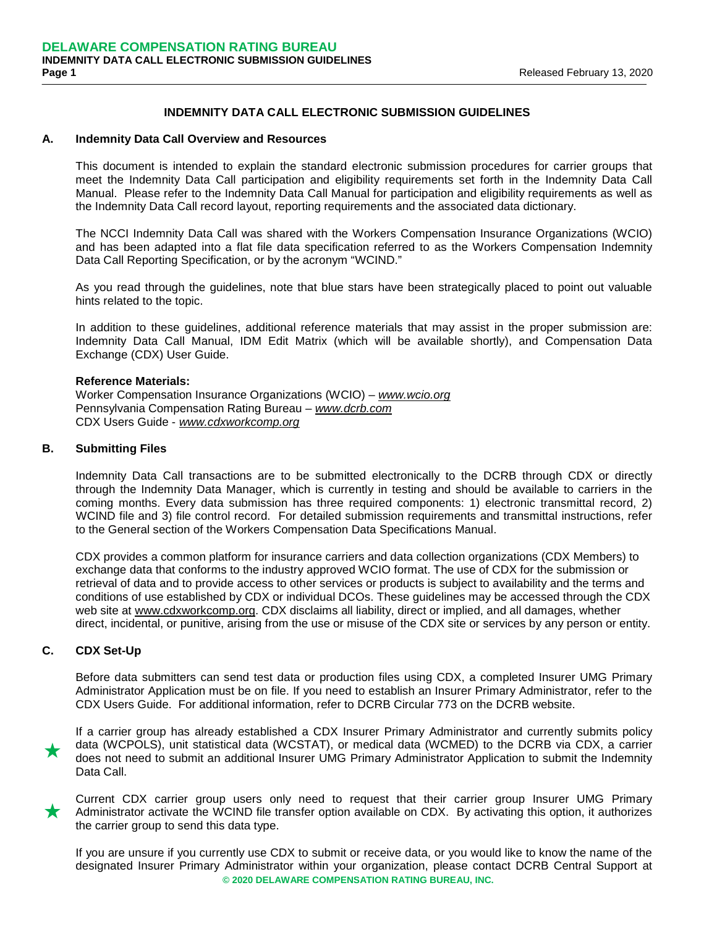# **INDEMNITY DATA CALL ELECTRONIC SUBMISSION GUIDELINES**

#### **A. Indemnity Data Call Overview and Resources**

This document is intended to explain the standard electronic submission procedures for carrier groups that meet the Indemnity Data Call participation and eligibility requirements set forth in the Indemnity Data Call Manual. Please refer to the Indemnity Data Call Manual for participation and eligibility requirements as well as the Indemnity Data Call record layout, reporting requirements and the associated data dictionary.

The NCCI Indemnity Data Call was shared with the Workers Compensation Insurance Organizations (WCIO) and has been adapted into a flat file data specification referred to as the Workers Compensation Indemnity Data Call Reporting Specification, or by the acronym "WCIND."

As you read through the guidelines, note that blue stars have been strategically placed to point out valuable hints related to the topic.

In addition to these guidelines, additional reference materials that may assist in the proper submission are: Indemnity Data Call Manual, IDM Edit Matrix (which will be available shortly), and Compensation Data Exchange (CDX) User Guide.

#### **Reference Materials:**

Worker Compensation Insurance Organizations (WCIO) – *[www.wcio.org](http://www.wcio.org/)* Pennsylvania Compensation Rating Bureau – *[www.dcrb.com](http://www.dcrb.com/)* CDX Users Guide - *[www.cdxworkcomp.org](http://www.cdxworkcomp.org/)*

## **B. Submitting Files**

Indemnity Data Call transactions are to be submitted electronically to the DCRB through CDX or directly through the Indemnity Data Manager, which is currently in testing and should be available to carriers in the coming months. Every data submission has three required components: 1) electronic transmittal record, 2) WCIND file and 3) file control record. For detailed submission requirements and transmittal instructions, refer to the General section of the Workers Compensation Data Specifications Manual.

CDX provides a common platform for insurance carriers and data collection organizations (CDX Members) to exchange data that conforms to the industry approved WCIO format. The use of CDX for the submission or retrieval of data and to provide access to other services or products is subject to availability and the terms and conditions of use established by CDX or individual DCOs. These guidelines may be accessed through the CDX web site at [www.cdxworkcomp.org.](http://www.cdxworkcomp.org/) CDX disclaims all liability, direct or implied, and all damages, whether direct, incidental, or punitive, arising from the use or misuse of the CDX site or services by any person or entity.

## **C. CDX Set-Up**

Before data submitters can send test data or production files using CDX, a completed Insurer UMG Primary Administrator Application must be on file. If you need to establish an Insurer Primary Administrator, refer to the CDX Users Guide. For additional information, refer to DCRB Circular 773 on the DCRB website.

 $\star$ If a carrier group has already established a CDX Insurer Primary Administrator and currently submits policy data (WCPOLS), unit statistical data (WCSTAT), or medical data (WCMED) to the DCRB via CDX, a carrier does not need to submit an additional Insurer UMG Primary Administrator Application to submit the Indemnity Data Call.

Current CDX carrier group users only need to request that their carrier group Insurer UMG Primary<br>Administrator activate the WCIND file transfer option available on CDX. By activating this option, it authorizes the carrier group to send this data type.

If you are unsure if you currently use CDX to submit or receive data, or you would like to know the name of the designated Insurer Primary Administrator within your organization, please contact DCRB Central Support at **© 2020 DELAWARE COMPENSATION RATING BUREAU, INC.**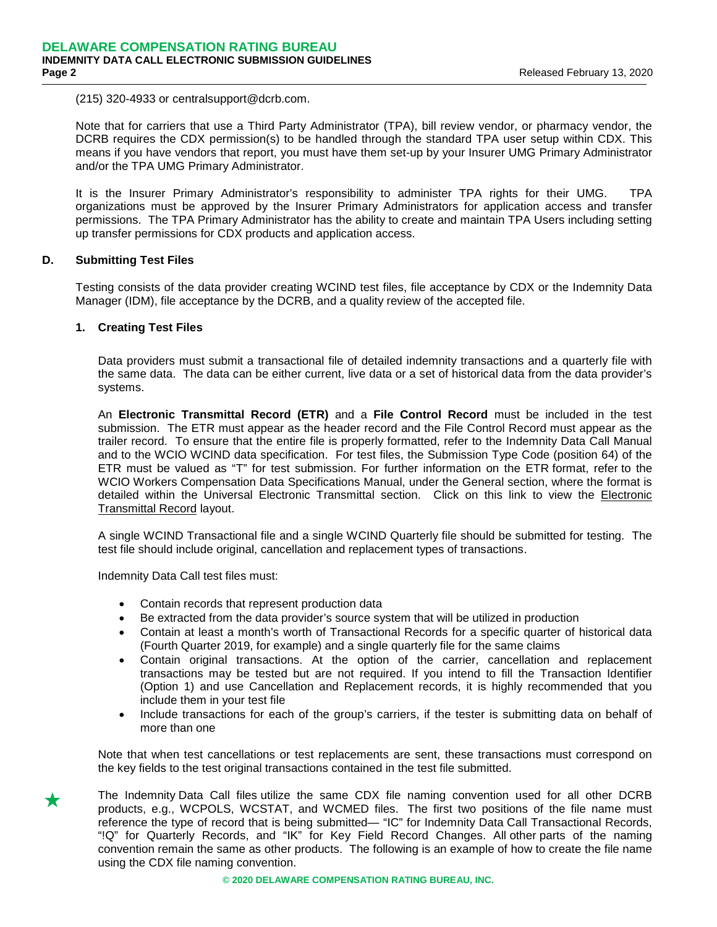(215) 320-4933 or centralsupport@dcrb.com.

Note that for carriers that use a Third Party Administrator (TPA), bill review vendor, or pharmacy vendor, the DCRB requires the CDX permission(s) to be handled through the standard TPA user setup within CDX. This means if you have vendors that report, you must have them set-up by your Insurer UMG Primary Administrator and/or the TPA UMG Primary Administrator.

It is the Insurer Primary Administrator's responsibility to administer TPA rights for their UMG. TPA organizations must be approved by the Insurer Primary Administrators for application access and transfer permissions. The TPA Primary Administrator has the ability to create and maintain TPA Users including setting up transfer permissions for CDX products and application access.

## **D. Submitting Test Files**

Testing consists of the data provider creating WCIND test files, file acceptance by CDX or the Indemnity Data Manager (IDM), file acceptance by the DCRB, and a quality review of the accepted file.

### **1. Creating Test Files**

Data providers must submit a transactional file of detailed indemnity transactions and a quarterly file with the same data. The data can be either current, live data or a set of historical data from the data provider's systems.

An **Electronic Transmittal Record (ETR)** and a **File Control Record** must be included in the test submission. The ETR must appear as the header record and the File Control Record must appear as the trailer record. To ensure that the entire file is properly formatted, refer to the Indemnity Data Call Manual and to the WCIO WCIND data specification. For test files, the Submission Type Code (position 64) of the ETR must be valued as "T" for test submission. For further information on the ETR format, refer to the WCIO Workers Compensation Data Specifications Manual, under the General section, where the format is detailed within the Universal Electronic Transmittal section. Click on this link to view the [Electronic](http://www.wcio.org/Active%20DSM/GENERAL.pdf%23page=23)  [Transmittal Record](http://www.wcio.org/Active%20DSM/GENERAL.pdf%23page=23) layout.

A single WCIND Transactional file and a single WCIND Quarterly file should be submitted for testing. The test file should include original, cancellation and replacement types of transactions.

Indemnity Data Call test files must:

- Contain records that represent production data
- Be extracted from the data provider's source system that will be utilized in production
- Contain at least a month's worth of Transactional Records for a specific quarter of historical data (Fourth Quarter 2019, for example) and a single quarterly file for the same claims
- Contain original transactions. At the option of the carrier, cancellation and replacement transactions may be tested but are not required. If you intend to fill the Transaction Identifier (Option 1) and use Cancellation and Replacement records, it is highly recommended that you include them in your test file
- Include transactions for each of the group's carriers, if the tester is submitting data on behalf of more than one

Note that when test cancellations or test replacements are sent, these transactions must correspond on the key fields to the test original transactions contained in the test file submitted.

The Indemnity Data Call files utilize the same CDX file naming convention used for all other DCRB<br>products, e.g., WCPOLS, WCSTAT, and WCMED files. The first two positions of the file name must reference the type of record that is being submitted— "IC" for Indemnity Data Call Transactional Records, "!Q" for Quarterly Records, and "IK" for Key Field Record Changes. All other parts of the naming convention remain the same as other products. The following is an example of how to create the file name using the CDX file naming convention.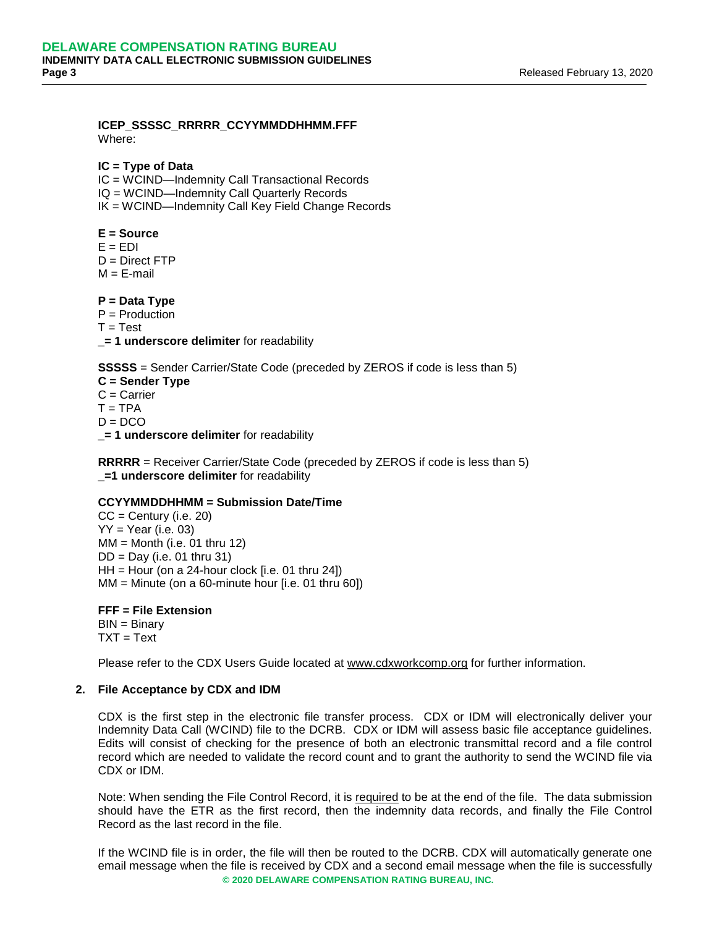### **ICEP\_SSSSC\_RRRRR\_CCYYMMDDHHMM.FFF** Where:

## **IC = Type of Data**

- IC = WCIND—Indemnity Call Transactional Records
- IQ = WCIND—Indemnity Call Quarterly Records
- IK = WCIND—Indemnity Call Key Field Change Records

## **E = Source**

- $E = EDI$
- $D =$  Direct FTP
- $M = E$ -mail

## **P = Data Type**

- P = Production
- $T = Test$
- **\_= 1 underscore delimiter** for readability

**SSSSS** = Sender Carrier/State Code (preceded by ZEROS if code is less than 5)

**C = Sender Type** C = Carrier  $T = TPA$  $D = DCO$ **\_= 1 underscore delimiter** for readability

**RRRRR** = Receiver Carrier/State Code (preceded by ZEROS if code is less than 5) **\_=1 underscore delimiter** for readability

## **CCYYMMDDHHMM = Submission Date/Time**

 $CC =$  Century (i.e. 20)  $YY = Year$  (i.e. 03)  $MM = M$ onth (i.e. 01 thru 12) DD = Day (i.e. 01 thru 31)  $HH =$  Hour (on a 24-hour clock [i.e. 01 thru 24])  $MM = M$ inute (on a 60-minute hour [i.e. 01 thru 60])

**FFF = File Extension** BIN = Binary  $TXT = Text$ 

Please refer to the CDX Users Guide located at [www.cdxworkcomp.org](http://www.cdxworkcomp.org/) for further information.

## **2. File Acceptance by CDX and IDM**

CDX is the first step in the electronic file transfer process. CDX or IDM will electronically deliver your Indemnity Data Call (WCIND) file to the DCRB. CDX or IDM will assess basic file acceptance guidelines. Edits will consist of checking for the presence of both an electronic transmittal record and a file control record which are needed to validate the record count and to grant the authority to send the WCIND file via CDX or IDM.

Note: When sending the File Control Record, it is required to be at the end of the file. The data submission should have the ETR as the first record, then the indemnity data records, and finally the File Control Record as the last record in the file.

If the WCIND file is in order, the file will then be routed to the DCRB. CDX will automatically generate one email message when the file is received by CDX and a second email message when the file is successfully **© 2020 DELAWARE COMPENSATION RATING BUREAU, INC.**